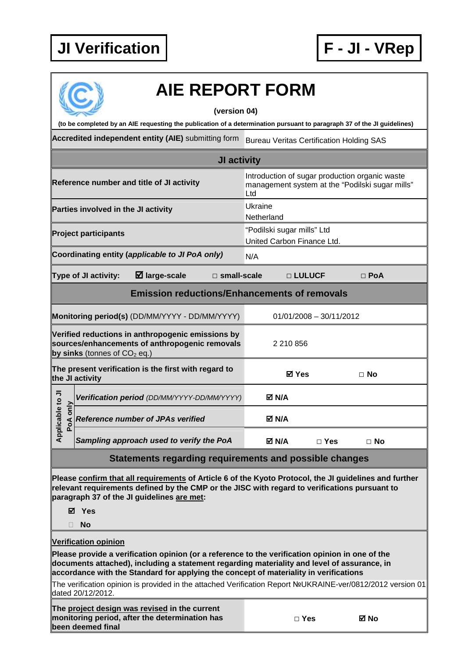

## **AIE REPORT FORM**

## **(version 04)**

**(to be completed by an AIE requesting the publication of a determination pursuant to paragraph 37 of the JI guidelines)** 

**Accredited independent entity (AIE)** submitting form Bureau Veritas Certification Holding SAS

| JI activity                                                                                                                           |          |                                                                                                                                                                                                                                                                      |                                                                                                          |        |          |            |            |
|---------------------------------------------------------------------------------------------------------------------------------------|----------|----------------------------------------------------------------------------------------------------------------------------------------------------------------------------------------------------------------------------------------------------------------------|----------------------------------------------------------------------------------------------------------|--------|----------|------------|------------|
| Reference number and title of JI activity                                                                                             |          |                                                                                                                                                                                                                                                                      | Introduction of sugar production organic waste<br>management system at the "Podilski sugar mills"<br>Ltd |        |          |            |            |
| Parties involved in the JI activity                                                                                                   |          |                                                                                                                                                                                                                                                                      | Ukraine<br>Netherland                                                                                    |        |          |            |            |
| <b>Project participants</b>                                                                                                           |          |                                                                                                                                                                                                                                                                      | "Podilski sugar mills" Ltd<br>United Carbon Finance Ltd.                                                 |        |          |            |            |
| Coordinating entity (applicable to JI PoA only)                                                                                       |          |                                                                                                                                                                                                                                                                      | N/A                                                                                                      |        |          |            |            |
| $\boxtimes$ large-scale<br>Type of JI activity:<br>$\Box$ small-scale                                                                 |          |                                                                                                                                                                                                                                                                      |                                                                                                          |        | □ LULUCF |            | $\Box$ PoA |
| <b>Emission reductions/Enhancements of removals</b>                                                                                   |          |                                                                                                                                                                                                                                                                      |                                                                                                          |        |          |            |            |
| Monitoring period(s) (DD/MM/YYYY - DD/MM/YYYY)                                                                                        |          |                                                                                                                                                                                                                                                                      | $01/01/2008 - 30/11/2012$                                                                                |        |          |            |            |
| Verified reductions in anthropogenic emissions by<br>sources/enhancements of anthropogenic removals<br>by sinks (tonnes of $CO2$ eq.) |          |                                                                                                                                                                                                                                                                      | 2 210 856                                                                                                |        |          |            |            |
| The present verification is the first with regard to<br>the JI activity                                                               |          |                                                                                                                                                                                                                                                                      | ⊠ Yes                                                                                                    |        |          | $\Box$ No  |            |
|                                                                                                                                       |          | Verification period (DD/MM/YYYY-DD/MM/YYYY)                                                                                                                                                                                                                          |                                                                                                          | M N/A  |          |            |            |
| Applicable to JI                                                                                                                      | PoA only | <b>Reference number of JPAs verified</b>                                                                                                                                                                                                                             |                                                                                                          | M N/A⊡ |          |            |            |
|                                                                                                                                       |          | Sampling approach used to verify the PoA                                                                                                                                                                                                                             |                                                                                                          | M N/A⊡ |          | $\Box$ Yes | $\Box$ No  |
| Statements regarding requirements and possible changes                                                                                |          |                                                                                                                                                                                                                                                                      |                                                                                                          |        |          |            |            |
|                                                                                                                                       |          | Please confirm that all requirements of Article 6 of the Kyoto Protocol, the JI guidelines and further<br>relevant requirements defined by the CMP or the JISC with regard to verifications pursuant to<br>paragraph 37 of the JI guidelines are met:<br>⊠ Yes<br>No |                                                                                                          |        |          |            |            |
|                                                                                                                                       |          | <b>Verification opinion</b>                                                                                                                                                                                                                                          |                                                                                                          |        |          |            |            |

**Please provide a verification opinion (or a reference to the verification opinion in one of the documents attached), including a statement regarding materiality and level of assurance, in accordance with the Standard for applying the concept of materiality in verifications** 

The verification opinion is provided in the attached Verification Report №UKRAINE-ver/0812/2012 version 01 dated 20/12/2012.

**The project design was revised in the current monitoring period, after the determination has been deemed final**